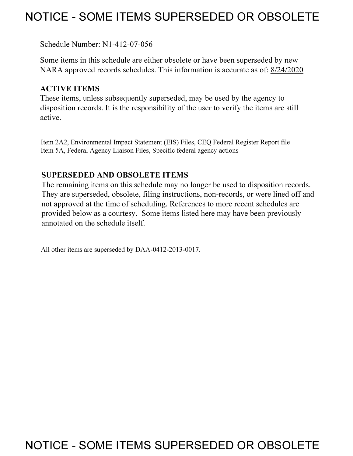## **NOTICE - SOME ITEMS SUPERSEDED OR OBSOLETE**

Schedule Number: Nl-412-07-056

Some items in this schedule are either obsolete or have been superseded by new NARA approved records schedules. This information is accurate as of: 8/24/2020

## **ACTIVE ITEMS**

These items, unless subsequently superseded, may be used by the agency to disposition records. It is the responsibility of the user to verify the items are still active.

Item 2A2, Environmental Impact Statement (EIS) Files, CEQ Federal Register Report file Item 5A, Federal Agency Liaison Files, Specific federal agency actions

## **SUPERSEDED AND OBSOLETE ITEMS**

The remaining items on this schedule may no longer be used to disposition records. They are superseded, obsolete, filing instructions, non-records, or were lined off and not approved at the time of scheduling. References to more recent schedules are provided below as a courtesy. Some items listed here may have been previously annotated on the schedule itself.

All other items are superseded by DAA-0412-2013-0017.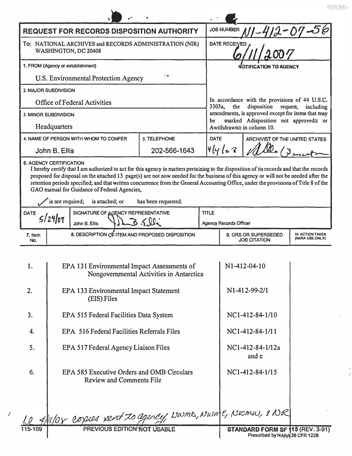| <b>REQUEST FOR RECORDS DISPOSITION AUTHORITY</b>                                                                                                                                                                                                                                                                                                                                                                                                                                                                                       |                                                                                                   |                                                                               |              |  | <b>JOB NUMBER</b><br>412-07-06                                                                          |                                |  |  |
|----------------------------------------------------------------------------------------------------------------------------------------------------------------------------------------------------------------------------------------------------------------------------------------------------------------------------------------------------------------------------------------------------------------------------------------------------------------------------------------------------------------------------------------|---------------------------------------------------------------------------------------------------|-------------------------------------------------------------------------------|--------------|--|---------------------------------------------------------------------------------------------------------|--------------------------------|--|--|
| To: NATIONAL ARCHIVES and RECORDS ADMINISTRATION (NIR)<br>WASHINGTON, DC 20408                                                                                                                                                                                                                                                                                                                                                                                                                                                         |                                                                                                   |                                                                               |              |  | <b>DATE RECEIVED</b>                                                                                    |                                |  |  |
| 1. FROM (Agency or establishment)                                                                                                                                                                                                                                                                                                                                                                                                                                                                                                      |                                                                                                   |                                                                               |              |  | <b>NOTIFICATION TO AGENCY</b>                                                                           |                                |  |  |
| <b>U.S. Environmental Protection Agency</b>                                                                                                                                                                                                                                                                                                                                                                                                                                                                                            |                                                                                                   |                                                                               |              |  |                                                                                                         |                                |  |  |
| 2. MAJOR SUBDIVISION                                                                                                                                                                                                                                                                                                                                                                                                                                                                                                                   |                                                                                                   |                                                                               |              |  |                                                                                                         |                                |  |  |
| <b>Office of Federal Activities</b>                                                                                                                                                                                                                                                                                                                                                                                                                                                                                                    |                                                                                                   |                                                                               |              |  | In accordance with the provisions of 44 U.S.C.<br>3303a,<br>disposition<br>the<br>request,<br>including |                                |  |  |
| 3. MINOR SUBDIVISION                                                                                                                                                                                                                                                                                                                                                                                                                                                                                                                   |                                                                                                   |                                                                               |              |  | amendments, is approved except for items that may<br>marked Adisposition not approved≅ or<br>be         |                                |  |  |
| Headquarters                                                                                                                                                                                                                                                                                                                                                                                                                                                                                                                           |                                                                                                   |                                                                               |              |  | Awithdrawn≅ in column 10.                                                                               |                                |  |  |
| 4. NAME OF PERSON WITH WHOM TO CONFER                                                                                                                                                                                                                                                                                                                                                                                                                                                                                                  |                                                                                                   |                                                                               | 5. TELEPHONE |  | <b>DATE</b>                                                                                             | ARCHIVIST OF THE UNITED STATES |  |  |
| John B. Ellis                                                                                                                                                                                                                                                                                                                                                                                                                                                                                                                          |                                                                                                   |                                                                               | 202-566-1643 |  | 41468                                                                                                   |                                |  |  |
| I hereby certify that I am authorized to act for this agency in matters pertaining to the disposition of its records and that the records<br>proposed for disposal on the attached 13 page(s) are not now needed for the business of this agency or will not be needed after the<br>retention periods specified; and that written concurrence from the General Accounting Office, under the provisions of Title 8 of the<br>GAO manual for Guidance of Federal Agencies,<br>is not required;<br>is attached; or<br>has been requested. |                                                                                                   |                                                                               |              |  |                                                                                                         |                                |  |  |
| SIGNATURE OF AGENCY REPRESENTATIVE<br><b>DATE</b>                                                                                                                                                                                                                                                                                                                                                                                                                                                                                      |                                                                                                   |                                                                               |              |  | <b>TITLE</b>                                                                                            |                                |  |  |
|                                                                                                                                                                                                                                                                                                                                                                                                                                                                                                                                        | 5/24/07<br>LB. 5.lli<br>John B. Ellis                                                             |                                                                               |              |  | <b>Agency Records Officer</b>                                                                           |                                |  |  |
| 7. Item<br>No.                                                                                                                                                                                                                                                                                                                                                                                                                                                                                                                         | 8. DESCRIPTION OF ITEM AND PROPOSED DISPOSITION                                                   |                                                                               |              |  | 9. GRS OR SUPERSEDED<br><b>10. ACTION TAKEN</b><br>(NARA USE ONLY)<br><b>JOB CITATION</b>               |                                |  |  |
|                                                                                                                                                                                                                                                                                                                                                                                                                                                                                                                                        |                                                                                                   |                                                                               |              |  |                                                                                                         |                                |  |  |
| 1.                                                                                                                                                                                                                                                                                                                                                                                                                                                                                                                                     | EPA 131 Environmental Impact Assessments of<br>Nongovernmental Activities in Antarctica           |                                                                               |              |  | N1-412-04-10                                                                                            |                                |  |  |
| 2.                                                                                                                                                                                                                                                                                                                                                                                                                                                                                                                                     | EPA 133 Environmental Impact Statement<br>(EIS) Files                                             |                                                                               |              |  | N1-412-99-2/1                                                                                           |                                |  |  |
| 3.                                                                                                                                                                                                                                                                                                                                                                                                                                                                                                                                     | EPA 515 Federal Facilities Data System                                                            |                                                                               |              |  | NC1-412-84-1/10                                                                                         |                                |  |  |
| 4.                                                                                                                                                                                                                                                                                                                                                                                                                                                                                                                                     | EPA 516 Federal Facilities Referrals Files                                                        |                                                                               |              |  | NC1-412-84-1/11                                                                                         |                                |  |  |
| 5.                                                                                                                                                                                                                                                                                                                                                                                                                                                                                                                                     |                                                                                                   | EPA 517 Federal Agency Liaison Files                                          |              |  |                                                                                                         | NC1-412-84-1/12a<br>and c      |  |  |
| 6.                                                                                                                                                                                                                                                                                                                                                                                                                                                                                                                                     |                                                                                                   | EPA 585 Executive Orders and OMB Circulars<br><b>Review and Comments File</b> |              |  | NC1-412-84-1/15                                                                                         |                                |  |  |
|                                                                                                                                                                                                                                                                                                                                                                                                                                                                                                                                        | e 4/11/08 copies sent to agency, NWMD, NWMF, NWMW, & NR                                           |                                                                               |              |  |                                                                                                         |                                |  |  |
| 115-109                                                                                                                                                                                                                                                                                                                                                                                                                                                                                                                                | PREVIOUS EDITION NOT USABLE<br>STANDARD FORM SF 115 (REV. 3-91)<br>Prescribed by NARA 36 CFR 1228 |                                                                               |              |  |                                                                                                         |                                |  |  |

 $\ensuremath{\text{NWML}}$ 

 $\hat{\mathbf{r}}$ 

*I*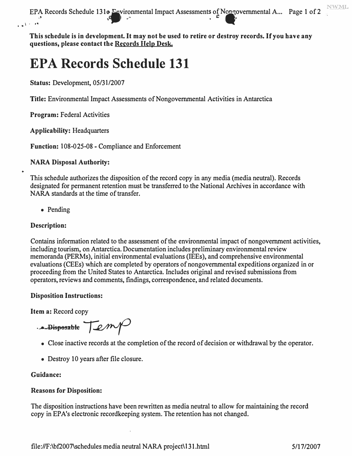EPA Records Schedule 131e Environmental Impact Assessments of Nongovernmental A... Page 1 of 2 1 ... -

**This schedule is in development. It may not be used to retire or destroy records. If you have any questions, please contact the Records Help Desk.** 

# **EPA Records Schedule 131**

**Status:** Development, 05/31/2007

**Title:** Environmental Impact Assessments of Nongovernmental Activities in Antarctica

**Program:** Federal Activities

**Applicability:** Headquarters

**Function:** 108-025-08 - Compliance and Enforcement

## **NARA Disposal Authority:**

This schedule authorizes the disposition of the record copy in any media (media neutral). Records designated for permanent retention must be transferred to the National Archives in accordance with NARA standards at the time of transfer.

• Pending

## **Description:**

Contains information related to the assessment of the environmental impact of nongovernment activities, including tourism, on Antarctica. Documentation includes preliminary environmental review memoranda (PERMs), initial environmental evaluations (IEEs), and comprehensive environmental evaluations (CEEs) which are completed by operators of nongovernmental expeditions organized in or proceeding from the United States to Antarctica. Includes original and revised submissions from operators, reviews and comments, findings, correspondence, and related documents.

### **Disposition Instructions:**

**Item a:** Record copy

*<u>Pisposable Lange</u>* 

- Close inactive records at the completion of the record of decision or withdrawal by the operator.
- Destroy 10 years after file closure.

## **Guidance:**

## **Reasons for Disposition:**

The disposition instructions have been rewritten as media neutral to allow for maintaining the record copy in EP A's electronic recordkeeping system. The retention has not changed.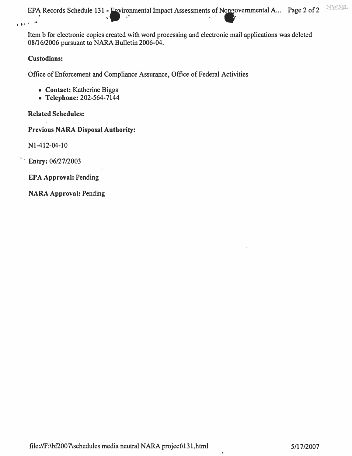**NWML** *EPA* Records Schedule 131 - *Povironmental Impact Assessments of* Nongovernmental A... Page 2 of 2 . . .  $\mathbb{R}$ 

Item b for electronic copies created with word processing and electronic mail applications was deleted 08/16/2006 pursuant to NARA Bulletin 2006-04.

### **Custodians:**

Office of Enforcement and Compliance Assurance, Office of Federal Activities

- **Contact:** Katherine Biggs
- **Telephone:** 202-564-7144

**Related Schedules:** 

**Previous NARA Disposal Authority:** 

Nl-412-04-10

· **Entry:** 06/27/2003

**EPA Approval:** Pending

**NARA Approval:** Pending

¥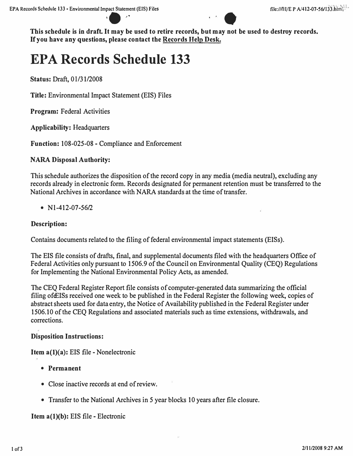

This schedule is in draft. It may be used to retire records, but may not be used to destroy records. **If you have any questions, please contact the Records Help Desk.** 

# **EPA Records Schedule 133**

**Status:** Draft, 0 l/31/2008

**Title:** Environmental Impact Statement (EIS) Files

**Program:** Federal Activities

**Applicability:** Headquarters

**Function:** 108-025-08 - Compliance and Enforcement

### **NARA Disposal Authority:**

This schedule authorizes the disposition of the record copy in any media (media neutral), excluding any records already in electronic form. Records designated for permanent retention must be transferred to the National Archives in accordance with NARA standards at the time of transfer.

•  $N1-412-07-56/2$ 

### **Description:**

Contains documents related to the filing of federal environmental impact statements (EISs).

The EIS file consists of drafts, final, and supplemental documents filed with the headquarters Office of Federal Activities only pursuant to 1506.9 of the Council on Environmental Quality (CEQ) Regulations for Implementing the National Environmental Policy Acts, as amended.

The CEQ Federal Register Report file consists of computer-generated data summarizing the official filing of EISs received one week to be published in the Federal Register the following week, copies of abstract sheets used for data entry, the Notice of Availability published in the Federal Register under 1506.10 of the CEQ Regulations and associated materials such as time extensions, withdrawals, and corrections.

#### **Disposition Instructions:**

**Item a(1)(a): EIS file - Nonelectronic** 

- **Permanent**
- Close inactive records at end of review.
- Transfer to the National Archives in 5 year blocks 10 years after file closure.

#### **Item a(l)(b):** EIS file - Electronic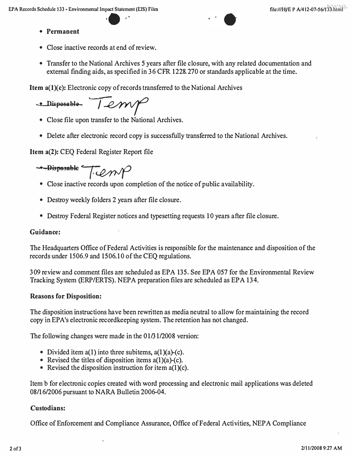- **Permanent**
- Close inactive records at end of review.
- Transfer to the National Archives 5 years after file closure, with any related documentation and external finding aids, as specified in 36 CFR 1228.270 or standards applicable at the time.

**Item a(l)(c):** Electronic copy of records transferred to the National Archives

-Disposable- Temp

- Close file upon transfer to the National Archives.
- Delete after electronic record copy is successfully transferred to the National Archives.

**Item a(2):** CEQ Federal Register Report file

**• Disposahle T**�

- Close inactive records upon completion of the notice of public availability.
- Destroy weekly folders 2 years after file closure.
- Destroy Federal Register notices and typesetting requests 10 years after file closure.

### **Guidance:**

The Headquarters Office of Federal Activities is responsible for the maintenance and disposition of the records under 1506.9 and 1506.10 of the CEQ regulations.

309 review and comment files are scheduled as EPA 135. See EPA 057 for the Environmental Review Tracking System (ERP/ERTS). NEPA preparation files are scheduled as EPA 134.

### **Reasons for: Disposition:**

The disposition instructions have been rewritten as media neutral to allow for maintaining the record copy in EP A's electronic recordkeeping system. The retention has not changed.

The following changes were made in the 01/31/2008 version:

- Divided item  $a(1)$  into three subitems,  $a(1)(a)-(c)$ .
- Revised the titles of disposition items  $a(1)(a)-(c)$ .
- Revised the disposition instruction for item  $a(1)(c)$ .

Item b for electronic copies created with word processing and electronic mail applications was deleted 08/16/2006 pursuant to NARA Bulletin 2006-04.

### **Custodians:**

Office of Enforcement and Compliance Assurance, Office of Federal Activities, NEPA Compliance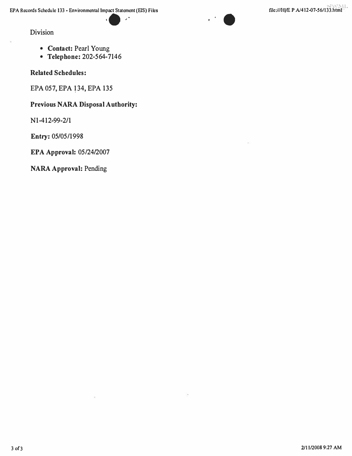�·



### Division

- **Contact:** Pearl Young
- **Telephone:** 202-564-7146

**Related Schedules:** 

EPA 057, EPA 134, EPA 135

## **Previous NARA Disposal Authority:**

Nl-412-99-2/1

Entry: 05/05/1998

**EPA Approval:** 05/24/2007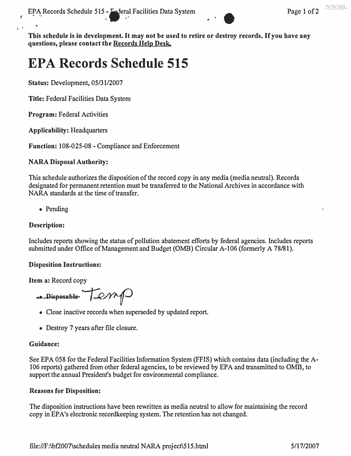

**This schedule is in development. It may not be used to retire or destroy records. If you have any questions, please contact the Records Help Desk.** 

# **EPA Records Schedule 515**

**Status:** Development, 05/31/2007

**Title:** Federal Facilities Data System

**Program:** Federal Activities

**Applicability:** Headquarters

**Function:** 108-025-08 - Compliance and Enforcement

## **NARA Disposal Authority:**

This schedule authorizes the disposition of the record copy in any media (media neutral). Records designated for permanent retention must be transferred to the National Archives in accordance with NARA standards at the time of transfer.

• Pending

## **Description:**

Includes reports showing the status of pollution abatement efforts by federal agencies. Includes reports submitted under Office of Management and Budget (0MB) Circular A-106 (formerly A 78/81).

### **Disposition Instructions:**

**Item a:** Record copy

**••** Disposable-  $|\mathcal{LMM}|$ 

- Close inactive records when superseded by updated report.
- Destroy 7 years after file closure.

### **Guidance:**

See EPA 058 for the Federal Facilities Information System (FFIS) which contains data (including the A-106 reports) gathered from other federal agencies, to be reviewed by EPA and transmitted to 0MB, to support the annual President's budget for environmental compliance.

### **Reasons for Disposition:**

The disposition instructions have been rewritten as media neutral to allow for maintaining the record copy in EPA's electronic recordkeeping system. The retention has not changed.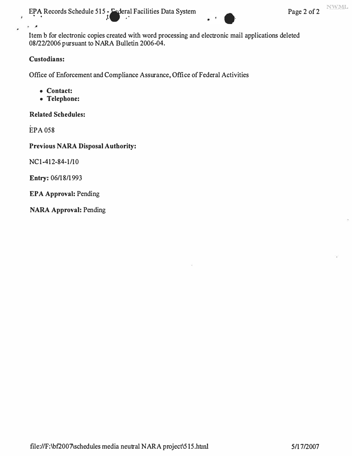EPA Records Schedule 515 - Esderal Facilities Data System Page 2 of 2

NWML

Item b for electronic copies created with word processing and electronic mail applications deleted 08/22/2006 pursuant to NARA Bulletin 2006-04.

### **Custodians:**

 $\mathbf{a}$ 

Office of Enforcement and Compliance Assurance, Office of Federal Activities

- **Contact:**
- **Telephone:**

**Related Schedules:** 

EPA058

**Previous NARA Disposal Authority:** 

NC1-412-84-1/10

Entry: 06/18/1993

**EPA Approval:** Pending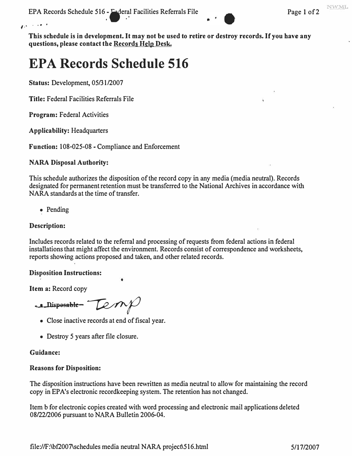EPA Records Schedule 516 - Faderal Facilities Referrals File Page 1 of 2



**This schedule is in development. It may not be used to retire or destroy records. If you have any questions, please contact the Records Help Desk.** 

# **EPA Records Schedule 516**

**Status:** Development, 05/31/2007

**Title:**Federal Facilities Referrals File

**Program:**Federal Activities

 $\overline{P}^{k-1}$  by  $\overline{P}^{k-1}$ 

**Applicability:** Headquarters

Function: 108-025-08 - Compliance and Enforcement

## **NARA Disposal Authority:**

This schedule authorizes the disposition of the record copy in any media (media neutral). Records designated for permanent retention must be transferred to the National Archives in accordance with NARA standards at the time of transfer.

• Pending

## **Description:**

Includes records related to the referral and processing of requests from federal actions in federal installations that might affect the environment. Records consist of correspondence and worksheets, reports showing actions proposed and taken, and other related records.

## **Disposition Instructions:**

**Item a:** Record copy

**, 1 Disposol,le �** 

- Close inactive records at end of fiscal year.
- Destroy 5 years after file closure.

### **Guidance:**

## **Reasons for Disposition:**

The disposition instructions have been rewritten as media neutral to allow for maintaining the record copy in EPA's electronic recordkeeping system. The retention has not changed.

Item b for electronic copies created with word processing and electronic mail applications deleted 08/22/2006 pursuant to NARA Bulletin 2006-04.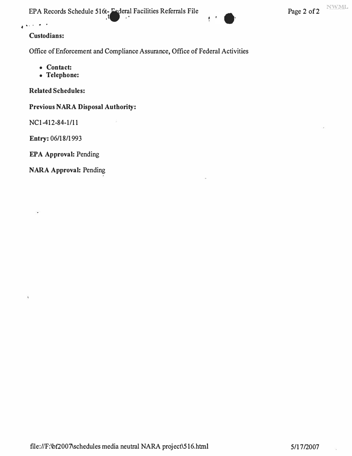EPA Records Schedule 516t- Federal Facilities Referrals File Page 2 of 2



## **Custodians:**

.... • fll. I> <sup>I</sup>

Office of Enforcement and Compliance Assurance, Office of Federal Activities

- **Contact:**
- **Telephone:**

**Related Schedules:** 

**Previous NARA Disposal Authority:** 

NCI-412-84-1/11

Entry: 06/18/1993

÷.

ł

**EPA Approval:** Pending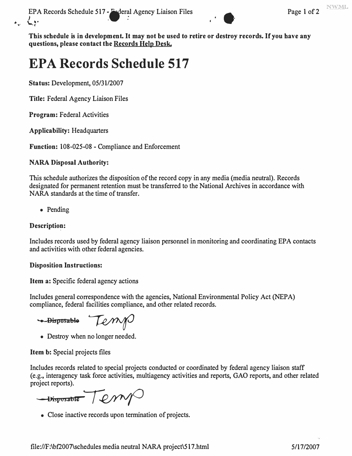"�· **\..,:"** <sup>T</sup> PA Records Schedule 517 - Federal Agency Liaison Files Page 1 of 2



**This schedule is in development. It may not be used to retire or destroy records. If you have any questions, please contact the Records Help Desk.** 

# **EPA Records Schedule 517**

**Status: Development, 05/31/2007** 

**Title: Federal Agency Liaison Files** 

**Program: Federal Activities** 

**Applicability: Headquarters** 

**Function: 108-025-08 - Compliance and Enforcement** 

## **NARA Disposal Authority:**

**This schedule authorizes the disposition of the record copy in any media (media neutral). Records designated for permanent retention must be transferred to the National Archives in accordance with NARA standards at the time of transfer.** 

**• Pending** 

## **Description:**

**Includes records used by federal agency liaison personnel in monitoring and coordinating EPA contacts and activities with other federal agencies.** 

## **Disposition Instructions:**

**Item a: Specific federal agency actions** 

**Includes general correspondence with the agencies, National Environmental Policy Act (NEPA) compliance, federal facilities compliance, and other related records.** 

**-Bisposable** Lemp

**• Destroy when no longer needed.** 

**Item b: Special projects files** 

**Includes records related to special projects conducted or coordinated by federal agency liaison staff (e.g., interagency task force activities, multiagency activities and reports, GAO reports, and other related project reports).** 

-Disposable Temp

**• Close inactive records upon termination of projects.**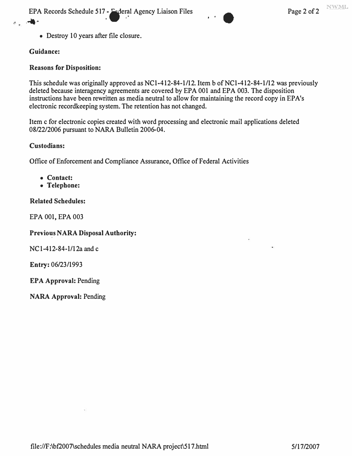EPA Records Schedule 517 - Federal Agency Liaison Files Page 2 of 2 EPA Records Schedule 517 - Federal Agency Liaison Files



• Destroy 10 years after file closure.

## **Guidance:**

## **Reasons for Disposition:**

This schedule was originally approved as NC1-412-84-1/12. Item b of NC1-412-84-1/12 was previously deleted because interagency agreements are covered by EPA 001 and EPA 003. The disposition instructions have been rewritten as media neutral to allow for maintaining the record copy in EPA's electronic recordkeeping system. The retention has not changed.

Item c for electronic copies created with word processing and electronic mail applications deleted 08/22/2006 pursuant to NARA Bulletin 2006-04.

### **Custodians:**

Office of Enforcement and Compliance Assurance, Office of Federal Activities

- **Contact:**
- **Telephone:**

## **Related Schedules:**

EPA 001, EPA 003

### **Previo�s NARA Disposal Authority:**

NC1-412-84-l/12a and c

Entry: 06/23/1993

**EPA Approval:** Pending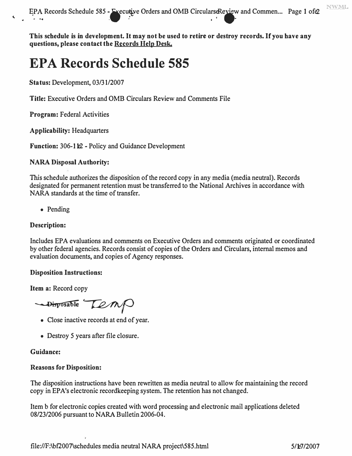EPA Records Schedule 585 - Executive Orders and OMB CircularseReview and Commen ... Page 1 ofe2

**This schedule is in development. It may not be used to retire or destroy records. If you have any questions, please contact the Records Help Desk.** 

## **EPA Records Schedule 585**

**Status: Development, 03/31/2007** 

**Title: Executive Orders and 0MB Circulars Review and Comments File** 

**Program: Federal Activities** 

**Applicability: Headquarters** 

**Function: 306-112 - Policy and Guidance Development** 

### **NARA Disposal Authority:**

**This schedule authorizes the disposition of the record copy in any media (media neutral). Records designated for permanent retention must be transferred to the National Archives in accordance with NARA standards at the time of transfer.** 

**• Pending** 

### **Description:**

**Includes EPA evaluations and comments on Executive Orders and comments originated or coordinated by other federal agencies. Records consist of copies of the Orders and Circulars, internal memos and evaluation documents, and copies of Agency responses.** 

#### **Disposition Instructions:**

**Item a: Record copy** 

 $\rightarrow$ Disposable  $\sqrt{2}$ M $\odot$ 

- **Close inactive records at end of year.**
- **Destroy 5 years after file closure.**

#### **Guidance:**

#### **Reasons for Disposition:**

**The disposition instructions have been rewritten as media neutral to allow for maintaining the record copy in EPA's electronic recordkeeping system. The retention has not changed.** 

**Item b for electronic copies created with word processing and electronic mail applications deleted**  08/23/2006 pursuant to NARA Bulletin 2006-04.